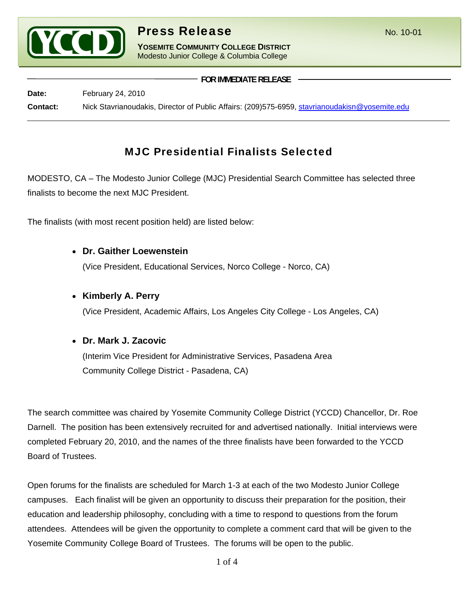

# **Press Release** No. 10-01

**YOSEMITE COMMUNITY COLLEGE DISTRICT** Modesto Junior College & Columbia College

**FOR IMMEDIATE RELEASE**

**Date:** February 24, 2010 **Contact:** Nick Stavrianoudakis, Director of Public Affairs: (209)575-6959, [stavrianoudakisn@yosemite.edu](mailto:stavrianoudakisn@yosemite.edu)

## MJC Presidential Finalists Selected

MODESTO, CA – The Modesto Junior College (MJC) Presidential Search Committee has selected three finalists to become the next MJC President.

The finalists (with most recent position held) are listed below:

• **Dr. Gaither Loewenstein**

(Vice President, Educational Services, Norco College - Norco, CA)

• **Kimberly A. Perry**

(Vice President, Academic Affairs, Los Angeles City College - Los Angeles, CA)

### • **Dr. Mark J. Zacovic**

(Interim Vice President for Administrative Services, Pasadena Area Community College District - Pasadena, CA)

The search committee was chaired by Yosemite Community College District (YCCD) Chancellor, Dr. Roe Darnell. The position has been extensively recruited for and advertised nationally. Initial interviews were completed February 20, 2010, and the names of the three finalists have been forwarded to the YCCD Board of Trustees.

Open forums for the finalists are scheduled for March 1-3 at each of the two Modesto Junior College campuses. Each finalist will be given an opportunity to discuss their preparation for the position, their education and leadership philosophy, concluding with a time to respond to questions from the forum attendees. Attendees will be given the opportunity to complete a comment card that will be given to the Yosemite Community College Board of Trustees. The forums will be open to the public.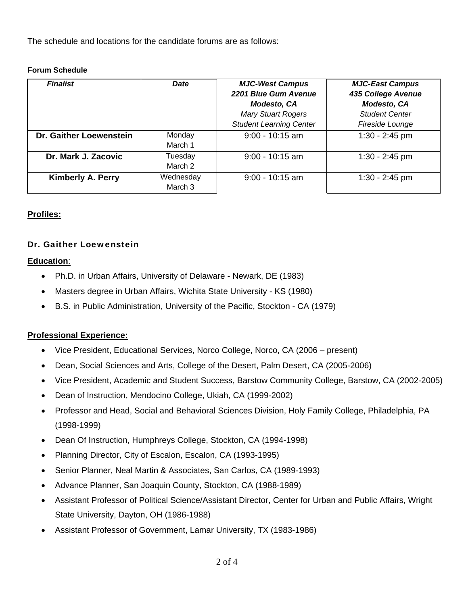The schedule and locations for the candidate forums are as follows:

#### **Forum Schedule**

| <b>Finalist</b>          | <b>Date</b>          | <b>MJC-West Campus</b><br>2201 Blue Gum Avenue<br>Modesto, CA<br><b>Mary Stuart Rogers</b><br><b>Student Learning Center</b> | <b>MJC-East Campus</b><br>435 College Avenue<br><b>Modesto, CA</b><br><b>Student Center</b><br>Fireside Lounge |
|--------------------------|----------------------|------------------------------------------------------------------------------------------------------------------------------|----------------------------------------------------------------------------------------------------------------|
| Dr. Gaither Loewenstein  | Monday<br>March 1    | $9:00 - 10:15$ am                                                                                                            | $1:30 - 2:45$ pm                                                                                               |
| Dr. Mark J. Zacovic      | Tuesday<br>March 2   | $9:00 - 10:15$ am                                                                                                            | $1:30 - 2:45$ pm                                                                                               |
| <b>Kimberly A. Perry</b> | Wednesday<br>March 3 | $9:00 - 10:15$ am                                                                                                            | $1:30 - 2:45$ pm                                                                                               |

#### **Profiles:**

#### Dr. Gaither Loewenstein

#### **Education**:

- Ph.D. in Urban Affairs, University of Delaware Newark, DE (1983)
- Masters degree in Urban Affairs, Wichita State University KS (1980)
- B.S. in Public Administration, University of the Pacific, Stockton CA (1979)

#### **Professional Experience:**

- Vice President, Educational Services, Norco College, Norco, CA (2006 present)
- Dean, Social Sciences and Arts, College of the Desert, Palm Desert, CA (2005-2006)
- Vice President, Academic and Student Success, Barstow Community College, Barstow, CA (2002-2005)
- Dean of Instruction, Mendocino College, Ukiah, CA (1999-2002)
- Professor and Head, Social and Behavioral Sciences Division, Holy Family College, Philadelphia, PA (1998-1999)
- Dean Of Instruction, Humphreys College, Stockton, CA (1994-1998)
- Planning Director, City of Escalon, Escalon, CA (1993-1995)
- Senior Planner, Neal Martin & Associates, San Carlos, CA (1989-1993)
- Advance Planner, San Joaquin County, Stockton, CA (1988-1989)
- Assistant Professor of Political Science/Assistant Director, Center for Urban and Public Affairs, Wright State University, Dayton, OH (1986-1988)
- Assistant Professor of Government, Lamar University, TX (1983-1986)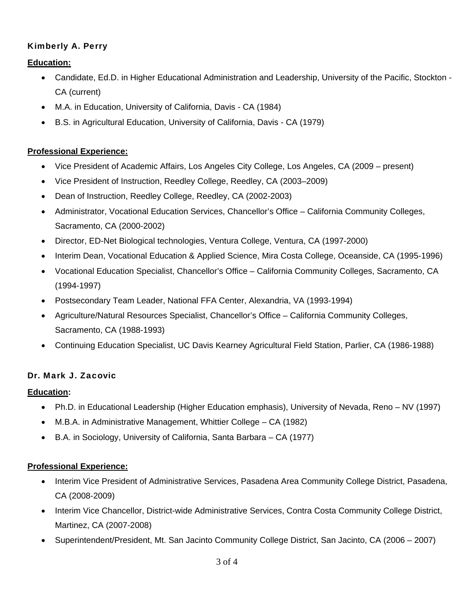## Kimberly A. Perry

**Education:**

- Candidate, Ed.D. in Higher Educational Administration and Leadership, University of the Pacific, Stockton CA (current)
- M.A. in Education, University of California, Davis CA (1984)
- B.S. in Agricultural Education, University of California, Davis CA (1979)

#### **Professional Experience:**

- Vice President of Academic Affairs, Los Angeles City College, Los Angeles, CA (2009 present)
- Vice President of Instruction, Reedley College, Reedley, CA (2003–2009)
- Dean of Instruction, Reedley College, Reedley, CA (2002-2003)
- Administrator, Vocational Education Services, Chancellor's Office California Community Colleges, Sacramento, CA (2000-2002)
- Director, ED-Net Biological technologies, Ventura College, Ventura, CA (1997-2000)
- Interim Dean, Vocational Education & Applied Science, Mira Costa College, Oceanside, CA (1995-1996)
- Vocational Education Specialist, Chancellor's Office California Community Colleges, Sacramento, CA (1994-1997)
- Postsecondary Team Leader, National FFA Center, Alexandria, VA (1993-1994)
- Agriculture/Natural Resources Specialist, Chancellor's Office California Community Colleges, Sacramento, CA (1988-1993)
- Continuing Education Specialist, UC Davis Kearney Agricultural Field Station, Parlier, CA (1986-1988)

#### Dr. Mark J. Zacovic

#### **Education:**

- Ph.D. in Educational Leadership (Higher Education emphasis), University of Nevada, Reno NV (1997)
- M.B.A. in Administrative Management, Whittier College CA (1982)
- B.A. in Sociology, University of California, Santa Barbara CA (1977)

#### **Professional Experience:**

- Interim Vice President of Administrative Services, Pasadena Area Community College District, Pasadena, CA (2008-2009)
- Interim Vice Chancellor, District-wide Administrative Services, Contra Costa Community College District, Martinez, CA (2007-2008)
- Superintendent/President, Mt. San Jacinto Community College District, San Jacinto, CA (2006 2007)